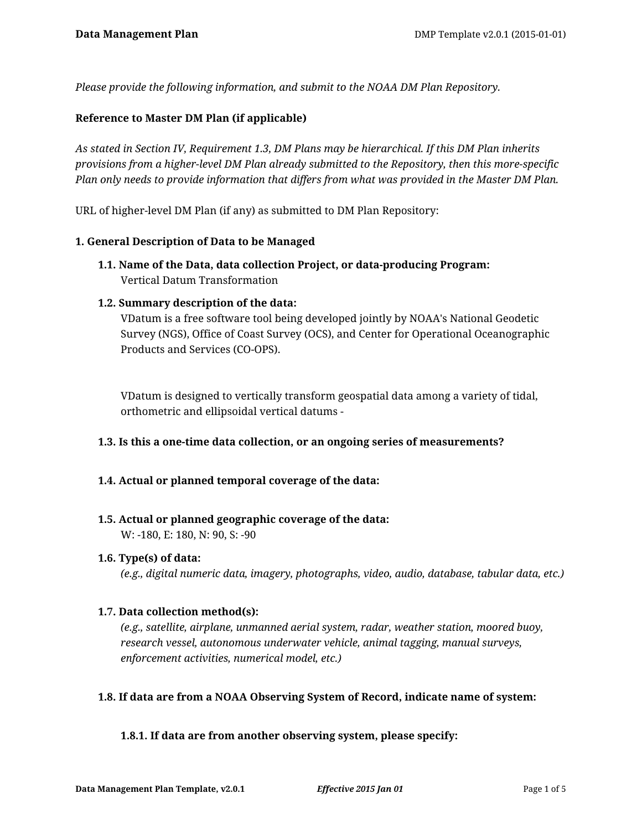*Please provide the following information, and submit to the NOAA DM Plan Repository.*

## **Reference to Master DM Plan (if applicable)**

*As stated in Section IV, Requirement 1.3, DM Plans may be hierarchical. If this DM Plan inherits provisions from a higher-level DM Plan already submitted to the Repository, then this more-specific Plan only needs to provide information that differs from what was provided in the Master DM Plan.*

URL of higher-level DM Plan (if any) as submitted to DM Plan Repository:

## **1. General Description of Data to be Managed**

**1.1. Name of the Data, data collection Project, or data-producing Program:** Vertical Datum Transformation

## **1.2. Summary description of the data:**

VDatum is a free software tool being developed jointly by NOAA's National Geodetic Survey (NGS), Office of Coast Survey (OCS), and Center for Operational Oceanographic Products and Services (CO-OPS).

VDatum is designed to vertically transform geospatial data among a variety of tidal, orthometric and ellipsoidal vertical datums -

## **1.3. Is this a one-time data collection, or an ongoing series of measurements?**

## **1.4. Actual or planned temporal coverage of the data:**

## **1.5. Actual or planned geographic coverage of the data:**

W: -180, E: 180, N: 90, S: -90

## **1.6. Type(s) of data:**

*(e.g., digital numeric data, imagery, photographs, video, audio, database, tabular data, etc.)*

## **1.7. Data collection method(s):**

*(e.g., satellite, airplane, unmanned aerial system, radar, weather station, moored buoy, research vessel, autonomous underwater vehicle, animal tagging, manual surveys, enforcement activities, numerical model, etc.)*

## **1.8. If data are from a NOAA Observing System of Record, indicate name of system:**

## **1.8.1. If data are from another observing system, please specify:**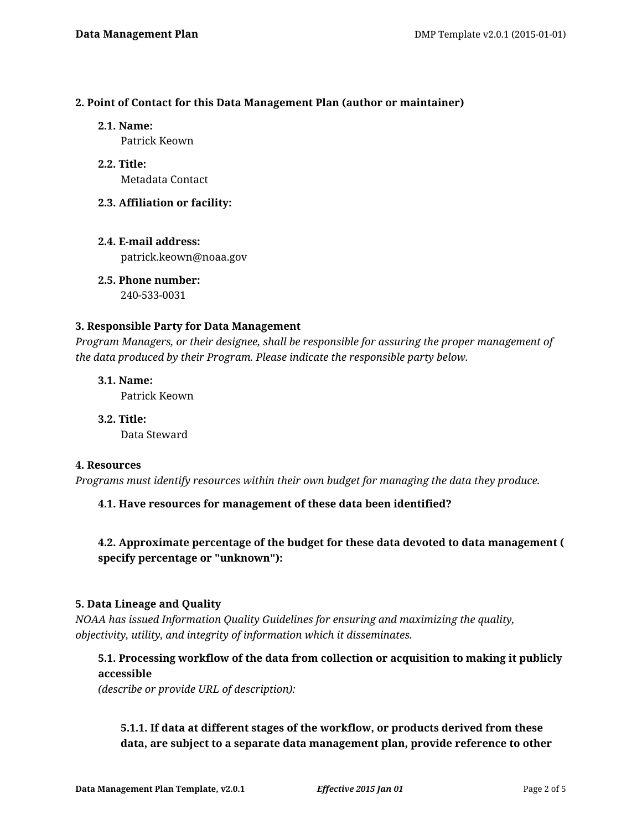## **2. Point of Contact for this Data Management Plan (author or maintainer)**

**2.1. Name:**

Patrick Keown

- **2.2. Title:** Metadata Contact
- **2.3. Affiliation or facility:**
- **2.4. E-mail address:** patrick.keown@noaa.gov

**2.5. Phone number:** 240-533-0031

# **3. Responsible Party for Data Management**

*Program Managers, or their designee, shall be responsible for assuring the proper management of the data produced by their Program. Please indicate the responsible party below.*

**3.1. Name:** Patrick Keown

**3.2. Title:** Data Steward

# **4. Resources**

*Programs must identify resources within their own budget for managing the data they produce.*

# **4.1. Have resources for management of these data been identified?**

# **4.2. Approximate percentage of the budget for these data devoted to data management ( specify percentage or "unknown"):**

# **5. Data Lineage and Quality**

*NOAA has issued Information Quality Guidelines for ensuring and maximizing the quality, objectivity, utility, and integrity of information which it disseminates.*

# **5.1. Processing workflow of the data from collection or acquisition to making it publicly accessible**

*(describe or provide URL of description):*

# **5.1.1. If data at different stages of the workflow, or products derived from these data, are subject to a separate data management plan, provide reference to other**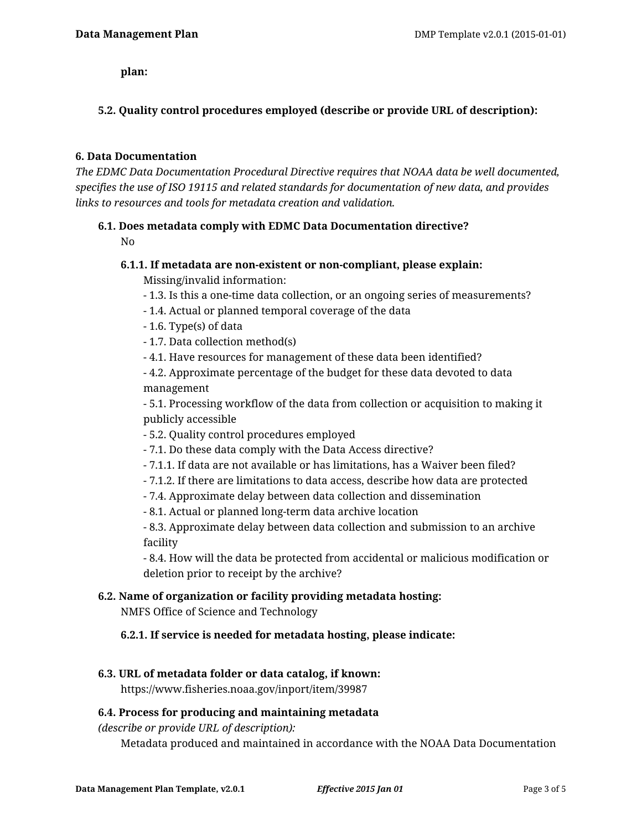**plan:**

# **5.2. Quality control procedures employed (describe or provide URL of description):**

## **6. Data Documentation**

*The EDMC Data Documentation Procedural Directive requires that NOAA data be well documented, specifies the use of ISO 19115 and related standards for documentation of new data, and provides links to resources and tools for metadata creation and validation.*

## **6.1. Does metadata comply with EDMC Data Documentation directive?**

No

# **6.1.1. If metadata are non-existent or non-compliant, please explain:**

Missing/invalid information:

- 1.3. Is this a one-time data collection, or an ongoing series of measurements?
- 1.4. Actual or planned temporal coverage of the data
- 1.6. Type(s) of data
- 1.7. Data collection method(s)
- 4.1. Have resources for management of these data been identified?
- 4.2. Approximate percentage of the budget for these data devoted to data management

- 5.1. Processing workflow of the data from collection or acquisition to making it publicly accessible

- 5.2. Quality control procedures employed
- 7.1. Do these data comply with the Data Access directive?
- 7.1.1. If data are not available or has limitations, has a Waiver been filed?
- 7.1.2. If there are limitations to data access, describe how data are protected
- 7.4. Approximate delay between data collection and dissemination
- 8.1. Actual or planned long-term data archive location

- 8.3. Approximate delay between data collection and submission to an archive facility

- 8.4. How will the data be protected from accidental or malicious modification or deletion prior to receipt by the archive?

# **6.2. Name of organization or facility providing metadata hosting:**

NMFS Office of Science and Technology

# **6.2.1. If service is needed for metadata hosting, please indicate:**

## **6.3. URL of metadata folder or data catalog, if known:**

https://www.fisheries.noaa.gov/inport/item/39987

# **6.4. Process for producing and maintaining metadata**

*(describe or provide URL of description):*

Metadata produced and maintained in accordance with the NOAA Data Documentation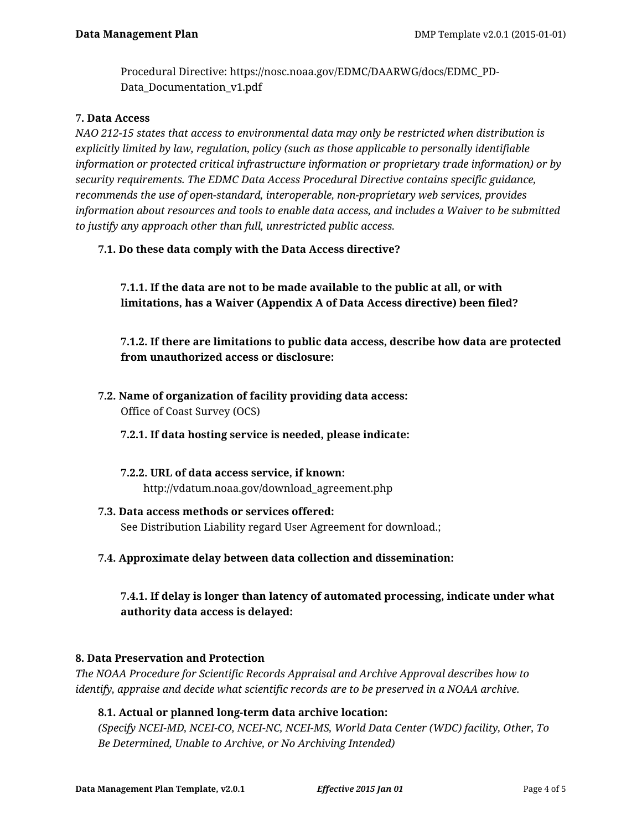Procedural Directive: https://nosc.noaa.gov/EDMC/DAARWG/docs/EDMC\_PD-Data\_Documentation\_v1.pdf

## **7. Data Access**

*NAO 212-15 states that access to environmental data may only be restricted when distribution is explicitly limited by law, regulation, policy (such as those applicable to personally identifiable information or protected critical infrastructure information or proprietary trade information) or by security requirements. The EDMC Data Access Procedural Directive contains specific guidance, recommends the use of open-standard, interoperable, non-proprietary web services, provides information about resources and tools to enable data access, and includes a Waiver to be submitted to justify any approach other than full, unrestricted public access.*

## **7.1. Do these data comply with the Data Access directive?**

**7.1.1. If the data are not to be made available to the public at all, or with limitations, has a Waiver (Appendix A of Data Access directive) been filed?**

**7.1.2. If there are limitations to public data access, describe how data are protected from unauthorized access or disclosure:**

**7.2. Name of organization of facility providing data access:** Office of Coast Survey (OCS)

## **7.2.1. If data hosting service is needed, please indicate:**

- **7.2.2. URL of data access service, if known:** http://vdatum.noaa.gov/download\_agreement.php
- **7.3. Data access methods or services offered:** See Distribution Liability regard User Agreement for download.;
- **7.4. Approximate delay between data collection and dissemination:**

**7.4.1. If delay is longer than latency of automated processing, indicate under what authority data access is delayed:**

## **8. Data Preservation and Protection**

*The NOAA Procedure for Scientific Records Appraisal and Archive Approval describes how to identify, appraise and decide what scientific records are to be preserved in a NOAA archive.*

## **8.1. Actual or planned long-term data archive location:**

*(Specify NCEI-MD, NCEI-CO, NCEI-NC, NCEI-MS, World Data Center (WDC) facility, Other, To Be Determined, Unable to Archive, or No Archiving Intended)*